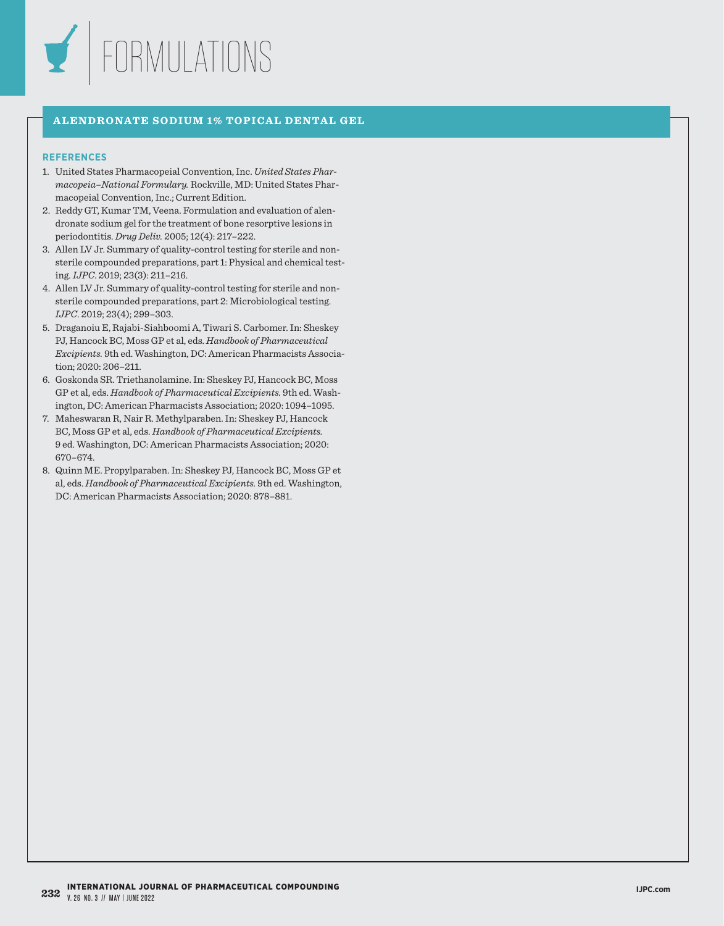

## **ALENDRONATE SODIUM 1% TOPICAL DENTAL GEL**

- 1. United States Pharmacopeial Convention, Inc. *United States Pharmacopeia–National Formulary.* Rockville, MD: United States Pharmacopeial Convention, Inc.; Current Edition.
- 2. Reddy GT, Kumar TM, Veena. Formulation and evaluation of alendronate sodium gel for the treatment of bone resorptive lesions in periodontitis. *Drug Deliv.* 2005; 12(4): 217–222.
- 3. Allen LV Jr. Summary of quality-control testing for sterile and nonsterile compounded preparations, part 1: Physical and chemical testing. *IJPC*. 2019; 23(3): 211–216.
- 4. Allen LV Jr. Summary of quality-control testing for sterile and nonsterile compounded preparations, part 2: Microbiological testing. *IJPC*. 2019; 23(4); 299–303.
- 5. Draganoiu E, Rajabi-Siahboomi A, Tiwari S. Carbomer. In: Sheskey PJ, Hancock BC, Moss GP et al, eds. *Handbook of Pharmaceutical Excipients.* 9th ed. Washington, DC: American Pharmacists Association; 2020: 206–211.
- 6. Goskonda SR. Triethanolamine. In: Sheskey PJ, Hancock BC, Moss GP et al, eds. *Handbook of Pharmaceutical Excipients.* 9th ed. Washington, DC: American Pharmacists Association; 2020: 1094–1095.
- 7. Maheswaran R, Nair R. Methylparaben. In: Sheskey PJ, Hancock BC, Moss GP et al, eds. *Handbook of Pharmaceutical Excipients.*  9 ed. Washington, DC: American Pharmacists Association; 2020: 670–674.
- 8. Quinn ME. Propylparaben. In: Sheskey PJ, Hancock BC, Moss GP et al, eds. *Handbook of Pharmaceutical Excipients.* 9th ed. Washington, DC: American Pharmacists Association; 2020: 878–881.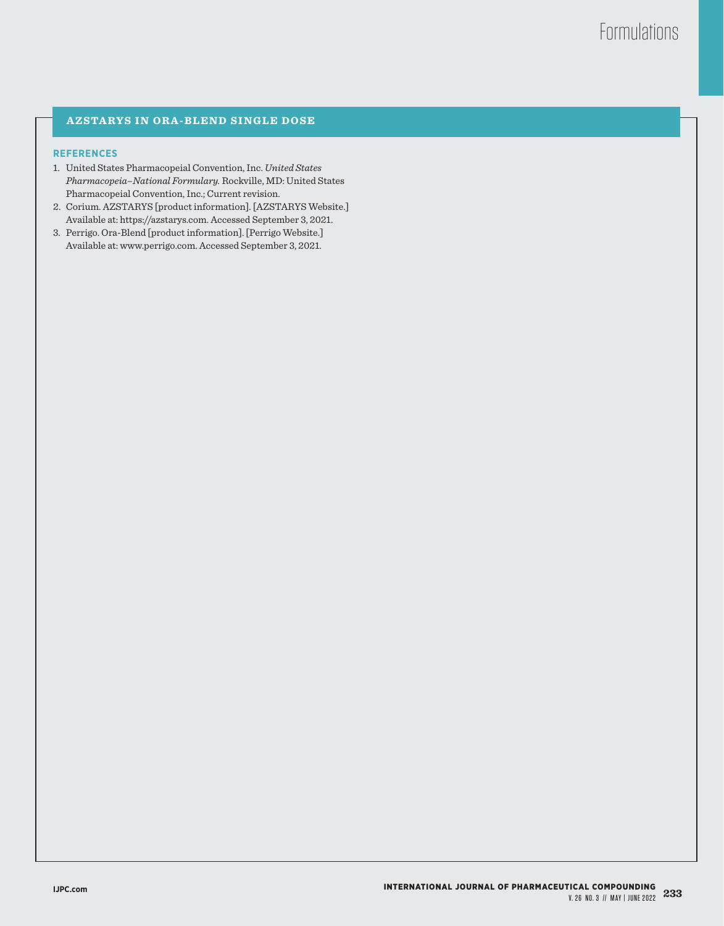# **AZSTARYS IN ORA-BLEND SINGLE DOSE**

- 1. United States Pharmacopeial Convention, Inc. *United States Pharmacopeia–National Formulary.* Rockville, MD: United States Pharmacopeial Convention, Inc.; Current revision.
- 2. Corium. AZSTARYS [product information]. [AZSTARYS Website.] Available at: https://azstarys.com. Accessed September 3, 2021.
- 3. Perrigo. Ora-Blend [product information]. [Perrigo Website.] Available at: www.perrigo.com. Accessed September 3, 2021.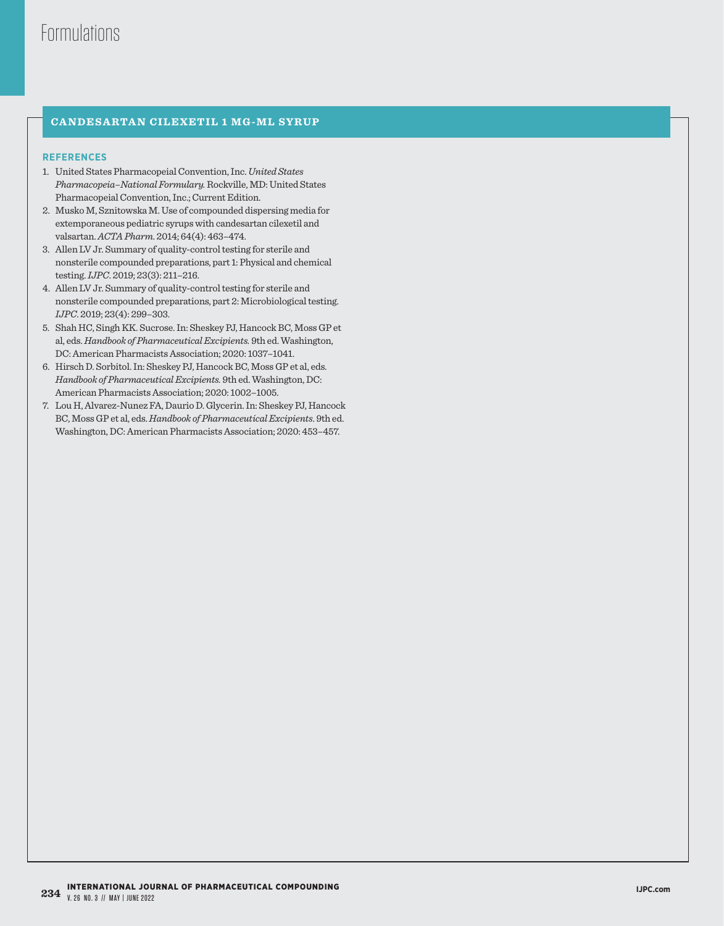# **CANDESARTAN CILEXETIL 1 MG-ML SYRUP**

- 1. United States Pharmacopeial Convention, Inc. *United States Pharmacopeia–National Formulary.* Rockville, MD: United States Pharmacopeial Convention, Inc.; Current Edition.
- 2. Musko M, Sznitowska M. Use of compounded dispersing media for extemporaneous pediatric syrups with candesartan cilexetil and valsartan. *ACTA Pharm*. 2014; 64(4): 463–474.
- 3. Allen LV Jr. Summary of quality-control testing for sterile and nonsterile compounded preparations, part 1: Physical and chemical testing. *IJPC*. 2019; 23(3): 211–216.
- 4. Allen LV Jr. Summary of quality-control testing for sterile and nonsterile compounded preparations, part 2: Microbiological testing. *IJPC*. 2019; 23(4): 299–303.
- 5. Shah HC, Singh KK. Sucrose. In: Sheskey PJ, Hancock BC, Moss GP et al, eds. *Handbook of Pharmaceutical Excipients.* 9th ed. Washington, DC: American Pharmacists Association; 2020: 1037–1041.
- 6. Hirsch D. Sorbitol. In: Sheskey PJ, Hancock BC, Moss GP et al, eds. *Handbook of Pharmaceutical Excipients.* 9th ed. Washington, DC: American Pharmacists Association; 2020: 1002–1005.
- 7. Lou H, Alvarez-Nunez FA, Daurio D. Glycerin. In: Sheskey PJ, Hancock BC, Moss GP et al, eds. *Handbook of Pharmaceutical Excipients*. 9th ed. Washington, DC: American Pharmacists Association; 2020: 453–457.